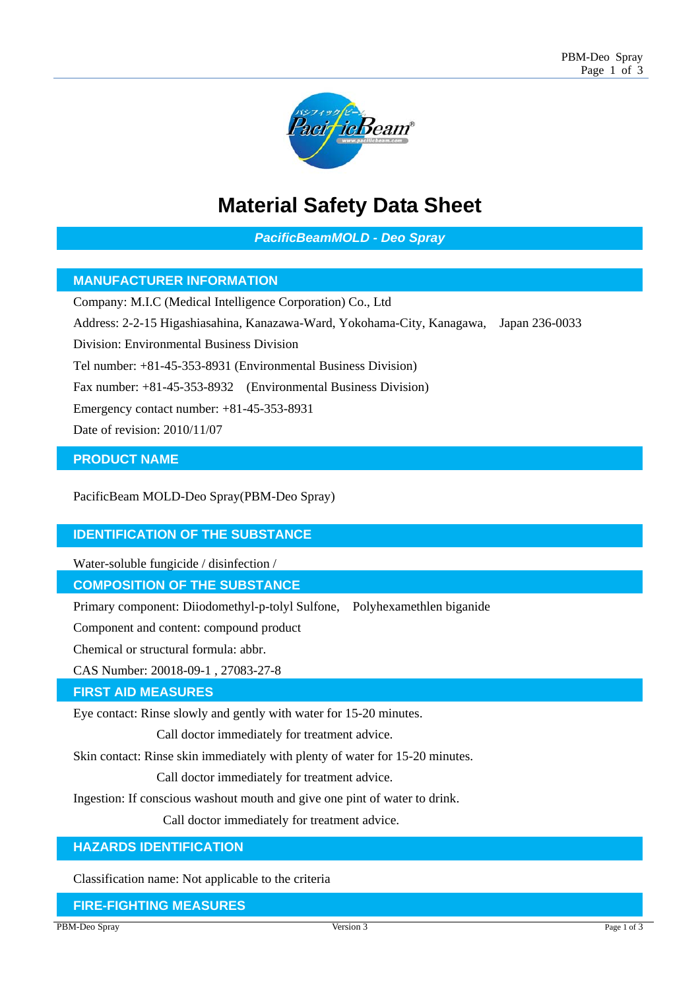

# **Material Safety Data Sheet**

*PacificBeamMOLD - Deo Spray* 

# **MANUFACTURER INFORMATION**

Company: M.I.C (Medical Intelligence Corporation) Co., Ltd

Address: 2-2-15 Higashiasahina, Kanazawa-Ward, Yokohama-City, Kanagawa, Japan 236-0033

Division: Environmental Business Division

Tel number: +81-45-353-8931 (Environmental Business Division)

Fax number: +81-45-353-8932 (Environmental Business Division)

Emergency contact number: +81-45-353-8931

Date of revision: 2010/11/07

## **PRODUCT NAME**

PacificBeam MOLD-Deo Spray(PBM-Deo Spray)

## **IDENTIFICATION OF THE SUBSTANCE**

Water-soluble fungicide / disinfection /

## **COMPOSITION OF THE SUBSTANCE**

Primary component: Diiodomethyl-p-tolyl Sulfone, Polyhexamethlen biganide

Component and content: compound product

Chemical or structural formula: abbr.

CAS Number: 20018-09-1 , 27083-27-8

#### **FIRST AID MEASURES**

Eye contact: Rinse slowly and gently with water for 15-20 minutes.

Call doctor immediately for treatment advice.

Skin contact: Rinse skin immediately with plenty of water for 15-20 minutes.

Call doctor immediately for treatment advice.

Ingestion: If conscious washout mouth and give one pint of water to drink.

Call doctor immediately for treatment advice.

# **HAZARDS IDENTIFICATION**

Classification name: Not applicable to the criteria

### **FIRE-FIGHTING MEASURES**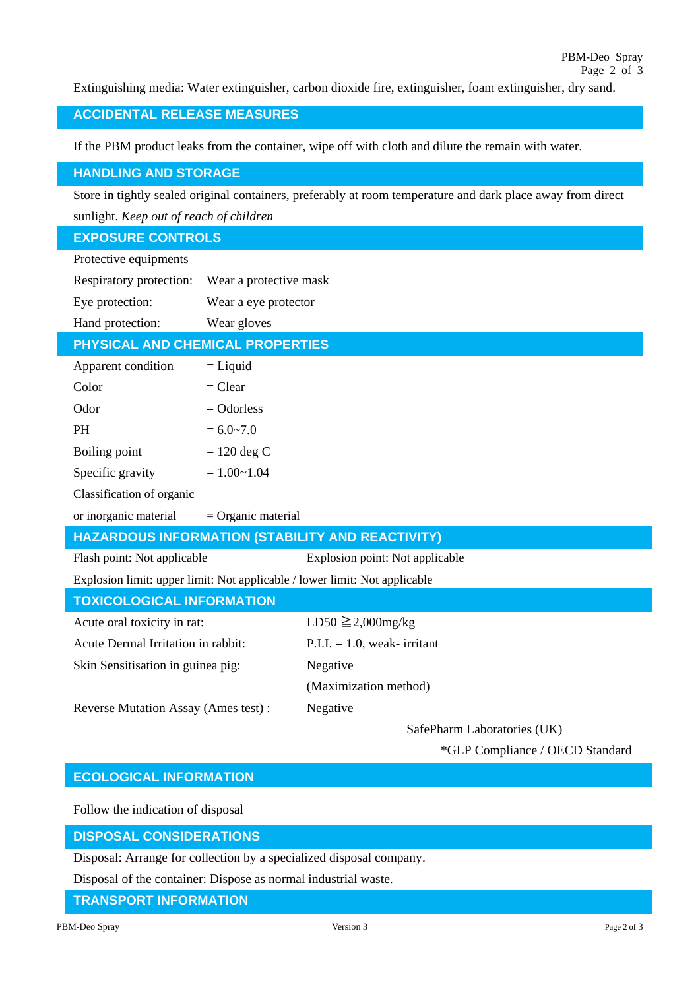Extinguishing media: Water extinguisher, carbon dioxide fire, extinguisher, foam extinguisher, dry sand.

## **ACCIDENTAL RELEASE MEASURES**

If the PBM product leaks from the container, wipe off with cloth and dilute the remain with water.

#### **HANDLING AND STORAGE**

Store in tightly sealed original containers, preferably at room temperature and dark place away from direct sunlight. *Keep out of reach of children*

#### **EXPOSURE CONTROLS**

| Protective equipments                                                      |                        |                                 |  |
|----------------------------------------------------------------------------|------------------------|---------------------------------|--|
| Respiratory protection:                                                    | Wear a protective mask |                                 |  |
| Eye protection:                                                            | Wear a eye protector   |                                 |  |
| Hand protection:                                                           | Wear gloves            |                                 |  |
| PHYSICAL AND CHEMICAL PROPERTIES                                           |                        |                                 |  |
| Apparent condition                                                         | $=$ Liquid             |                                 |  |
| Color                                                                      | $=$ Clear              |                                 |  |
| Odor                                                                       | $=$ Odorless           |                                 |  |
| <b>PH</b>                                                                  | $= 6.0 - 7.0$          |                                 |  |
| Boiling point                                                              | $= 120$ deg C          |                                 |  |
| Specific gravity                                                           | $= 1.00 - 1.04$        |                                 |  |
| Classification of organic                                                  |                        |                                 |  |
| or inorganic material                                                      | $=$ Organic material   |                                 |  |
| HAZARDOUS INFORMATION (STABILITY AND REACTIVITY)                           |                        |                                 |  |
| Flash point: Not applicable                                                |                        | Explosion point: Not applicable |  |
| Explosion limit: upper limit: Not applicable / lower limit: Not applicable |                        |                                 |  |
| <b>TOXICOLOGICAL INFORMATION</b>                                           |                        |                                 |  |
| Acute oral toxicity in rat:                                                |                        | $LD50 \geq 2,000$ mg/kg         |  |
| Acute Dermal Irritation in rabbit:                                         |                        | $P.I.I. = 1.0$ , weak-irritant  |  |
| Skin Sensitisation in guinea pig:                                          |                        | Negative                        |  |
|                                                                            |                        | (Maximization method)           |  |
| Reverse Mutation Assay (Ames test):                                        |                        | Negative                        |  |

SafePharm Laboratories (UK)

\*GLP Compliance / OECD Standard

## **ECOLOGICAL INFORMATION**

Follow the indication of disposal

#### **DISPOSAL CONSIDERATIONS**

Disposal: Arrange for collection by a specialized disposal company.

Disposal of the container: Dispose as normal industrial waste.

**TRANSPORT INFORMATION**